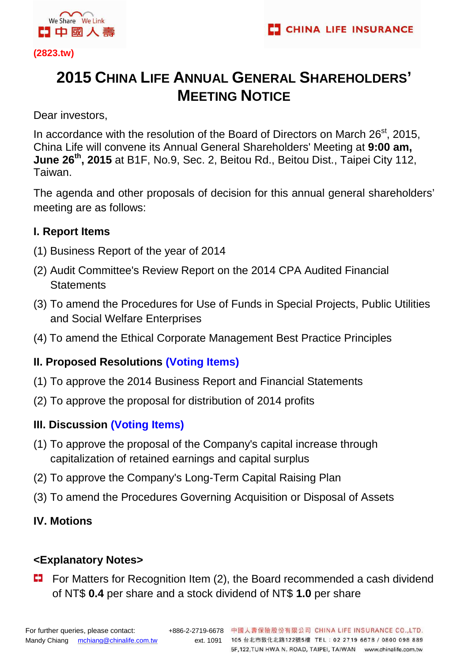

**(2823.tw)** 

# **2015 CHINA LIFE ANNUAL GENERAL SHAREHOLDERS' MEETING NOTICE**

Dear investors,

In accordance with the resolution of the Board of Directors on March 26<sup>st</sup>, 2015. China Life will convene its Annual General Shareholders' Meeting at **9:00 am, June 26th, 2015** at B1F, No.9, Sec. 2, Beitou Rd., Beitou Dist., Taipei City 112, Taiwan.

The agenda and other proposals of decision for this annual general shareholders' meeting are as follows:

## **I. Report Items**

- (1) Business Report of the year of 2014
- (2) Audit Committee's Review Report on the 2014 CPA Audited Financial **Statements**
- (3) To amend the Procedures for Use of Funds in Special Projects, Public Utilities and Social Welfare Enterprises
- (4) To amend the Ethical Corporate Management Best Practice Principles

# **II. Proposed Resolutions (Voting Items)**

- (1) To approve the 2014 Business Report and Financial Statements
- (2) To approve the proposal for distribution of 2014 profits

# **III. Discussion (Voting Items)**

- (1) To approve the proposal of the Company's capital increase through capitalization of retained earnings and capital surplus
- (2) To approve the Company's Long-Term Capital Raising Plan
- (3) To amend the Procedures Governing Acquisition or Disposal of Assets

## **IV. Motions**

## **<Explanatory Notes>**

For Matters for Recognition Item (2), the Board recommended a cash dividend of NT\$ **0.4** per share and a stock dividend of NT\$ **1.0** per share